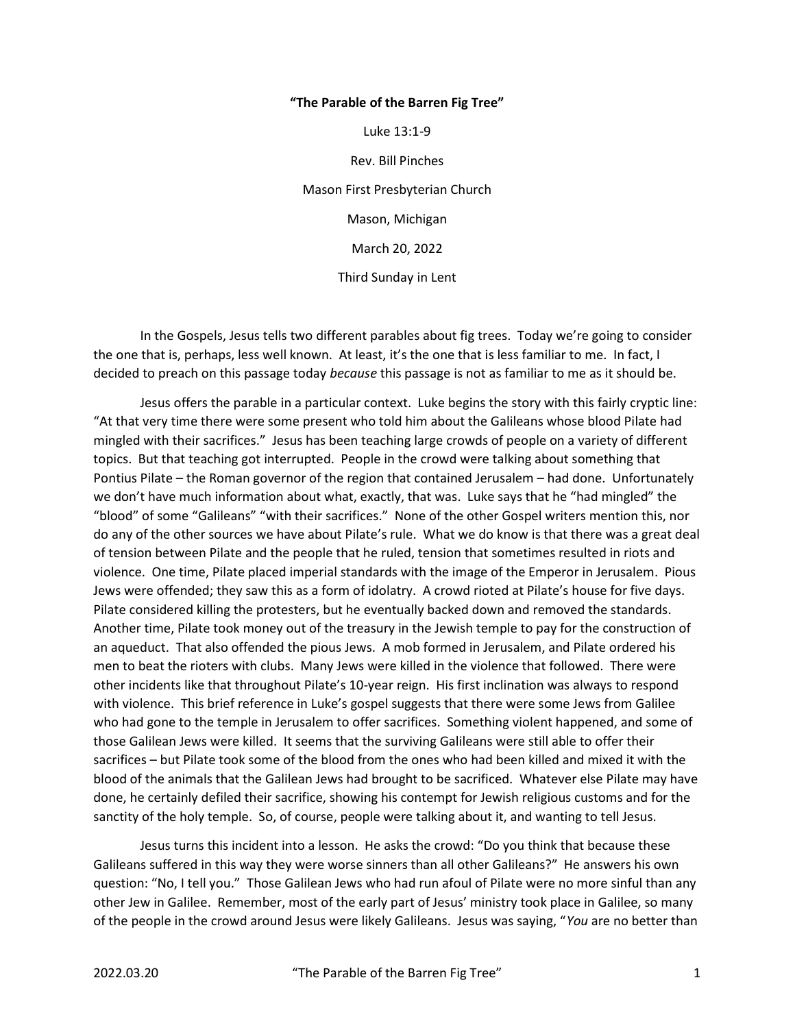## "The Parable of the Barren Fig Tree"

Luke 13:1-9

Rev. Bill Pinches

Mason First Presbyterian Church Mason, Michigan

March 20, 2022

Third Sunday in Lent

 In the Gospels, Jesus tells two different parables about fig trees. Today we're going to consider the one that is, perhaps, less well known. At least, it's the one that is less familiar to me. In fact, I decided to preach on this passage today *because* this passage is not as familiar to me as it should be.

 Jesus offers the parable in a particular context. Luke begins the story with this fairly cryptic line: "At that very time there were some present who told him about the Galileans whose blood Pilate had mingled with their sacrifices." Jesus has been teaching large crowds of people on a variety of different topics. But that teaching got interrupted. People in the crowd were talking about something that Pontius Pilate – the Roman governor of the region that contained Jerusalem – had done. Unfortunately we don't have much information about what, exactly, that was. Luke says that he "had mingled" the "blood" of some "Galileans" "with their sacrifices." None of the other Gospel writers mention this, nor do any of the other sources we have about Pilate's rule. What we do know is that there was a great deal of tension between Pilate and the people that he ruled, tension that sometimes resulted in riots and violence. One time, Pilate placed imperial standards with the image of the Emperor in Jerusalem. Pious Jews were offended; they saw this as a form of idolatry. A crowd rioted at Pilate's house for five days. Pilate considered killing the protesters, but he eventually backed down and removed the standards. Another time, Pilate took money out of the treasury in the Jewish temple to pay for the construction of an aqueduct. That also offended the pious Jews. A mob formed in Jerusalem, and Pilate ordered his men to beat the rioters with clubs. Many Jews were killed in the violence that followed. There were other incidents like that throughout Pilate's 10-year reign. His first inclination was always to respond with violence. This brief reference in Luke's gospel suggests that there were some Jews from Galilee who had gone to the temple in Jerusalem to offer sacrifices. Something violent happened, and some of those Galilean Jews were killed. It seems that the surviving Galileans were still able to offer their sacrifices – but Pilate took some of the blood from the ones who had been killed and mixed it with the blood of the animals that the Galilean Jews had brought to be sacrificed. Whatever else Pilate may have done, he certainly defiled their sacrifice, showing his contempt for Jewish religious customs and for the sanctity of the holy temple. So, of course, people were talking about it, and wanting to tell Jesus.

 Jesus turns this incident into a lesson. He asks the crowd: "Do you think that because these Galileans suffered in this way they were worse sinners than all other Galileans?" He answers his own question: "No, I tell you." Those Galilean Jews who had run afoul of Pilate were no more sinful than any other Jew in Galilee. Remember, most of the early part of Jesus' ministry took place in Galilee, so many of the people in the crowd around Jesus were likely Galileans. Jesus was saying, "You are no better than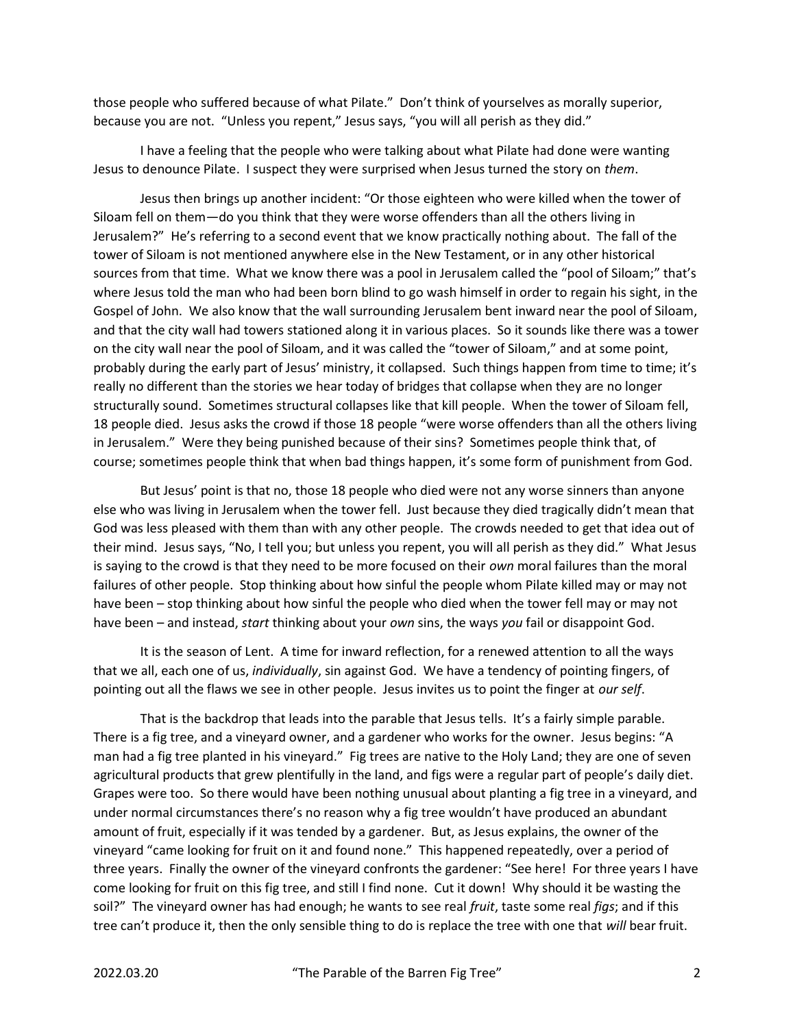those people who suffered because of what Pilate." Don't think of yourselves as morally superior, because you are not. "Unless you repent," Jesus says, "you will all perish as they did."

 I have a feeling that the people who were talking about what Pilate had done were wanting Jesus to denounce Pilate. I suspect they were surprised when Jesus turned the story on them.

 Jesus then brings up another incident: "Or those eighteen who were killed when the tower of Siloam fell on them—do you think that they were worse offenders than all the others living in Jerusalem?" He's referring to a second event that we know practically nothing about. The fall of the tower of Siloam is not mentioned anywhere else in the New Testament, or in any other historical sources from that time. What we know there was a pool in Jerusalem called the "pool of Siloam;" that's where Jesus told the man who had been born blind to go wash himself in order to regain his sight, in the Gospel of John. We also know that the wall surrounding Jerusalem bent inward near the pool of Siloam, and that the city wall had towers stationed along it in various places. So it sounds like there was a tower on the city wall near the pool of Siloam, and it was called the "tower of Siloam," and at some point, probably during the early part of Jesus' ministry, it collapsed. Such things happen from time to time; it's really no different than the stories we hear today of bridges that collapse when they are no longer structurally sound. Sometimes structural collapses like that kill people. When the tower of Siloam fell, 18 people died. Jesus asks the crowd if those 18 people "were worse offenders than all the others living in Jerusalem." Were they being punished because of their sins? Sometimes people think that, of course; sometimes people think that when bad things happen, it's some form of punishment from God.

 But Jesus' point is that no, those 18 people who died were not any worse sinners than anyone else who was living in Jerusalem when the tower fell. Just because they died tragically didn't mean that God was less pleased with them than with any other people. The crowds needed to get that idea out of their mind. Jesus says, "No, I tell you; but unless you repent, you will all perish as they did." What Jesus is saying to the crowd is that they need to be more focused on their own moral failures than the moral failures of other people. Stop thinking about how sinful the people whom Pilate killed may or may not have been – stop thinking about how sinful the people who died when the tower fell may or may not have been – and instead, *start* thinking about your *own* sins, the ways you fail or disappoint God.

 It is the season of Lent. A time for inward reflection, for a renewed attention to all the ways that we all, each one of us, individually, sin against God. We have a tendency of pointing fingers, of pointing out all the flaws we see in other people. Jesus invites us to point the finger at our self.

 That is the backdrop that leads into the parable that Jesus tells. It's a fairly simple parable. There is a fig tree, and a vineyard owner, and a gardener who works for the owner. Jesus begins: "A man had a fig tree planted in his vineyard." Fig trees are native to the Holy Land; they are one of seven agricultural products that grew plentifully in the land, and figs were a regular part of people's daily diet. Grapes were too. So there would have been nothing unusual about planting a fig tree in a vineyard, and under normal circumstances there's no reason why a fig tree wouldn't have produced an abundant amount of fruit, especially if it was tended by a gardener. But, as Jesus explains, the owner of the vineyard "came looking for fruit on it and found none." This happened repeatedly, over a period of three years. Finally the owner of the vineyard confronts the gardener: "See here! For three years I have come looking for fruit on this fig tree, and still I find none. Cut it down! Why should it be wasting the soil?" The vineyard owner has had enough; he wants to see real fruit, taste some real figs; and if this tree can't produce it, then the only sensible thing to do is replace the tree with one that will bear fruit.